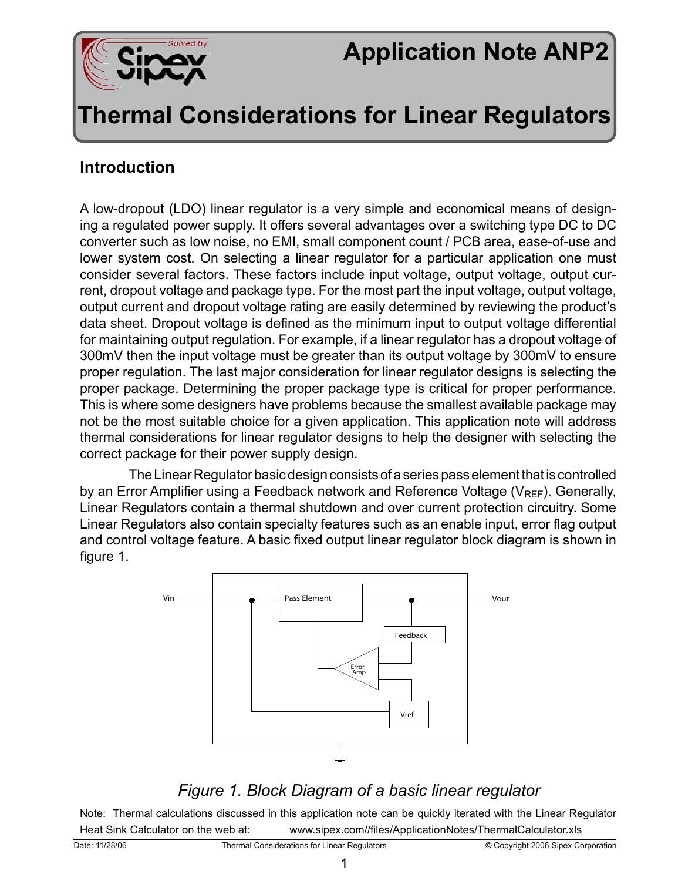

# **Application Note ANP2**

## **Thermal Considerations for Linear Regulators**

#### **Introduction**

A low-dropout (LDO) linear regulator is a very simple and economical means of designing a regulated power supply. It offers several advantages over a switching type DC to DC converter such as low noise, no EMI, small component count / PCB area, ease-of-use and lower system cost. On selecting a linear regulator for a particular application one must consider several factors. These factors include input voltage, output voltage, output current, dropout voltage and package type. For the most part the input voltage, output voltage, output current and dropout voltage rating are easily determined by reviewing the product's data sheet. Dropout voltage is defined as the minimum input to output voltage differential for maintaining output regulation. For example, if a linear regulator has a dropout voltage of 300mV then the input voltage must be greater than its output voltage by 300mV to ensure proper regulation. The last major consideration for linear regulator designs is selecting the proper package. Determining the proper package type is critical for proper performance. This is where some designers have problems because the smallest available package may not be the most suitable choice for a given application. This application note will address thermal considerations for linear regulator designs to help the designer with selecting the correct package for their power supply design.

The Linear Regulator basic design consists of a series pass element that is controlled by an Error Amplifier using a Feedback network and Reference Voltage ( $V_{\text{REF}}$ ). Generally, Linear Regulators contain a thermal shutdown and over current protection circuitry. Some Linear Regulators also contain specialty features such as an enable input, error flag output and control voltage feature. A basic fixed output linear regulator block diagram is shown in figure 1.



#### *Figure 1. Block Diagram of a basic linear regulator*

Note: Thermal calculations discussed in this application note can be quickly iterated with the Linear Regulator Heat Sink Calculator on the web at: www.sipex.com//files/ApplicationNotes/ThermalCalculator.xls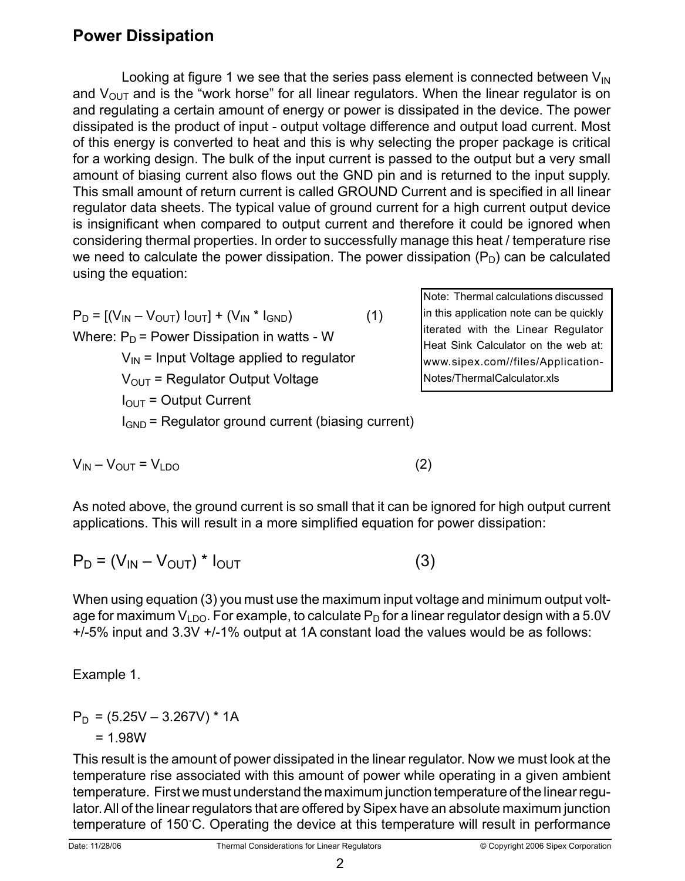### **Power Dissipation**

Looking at figure 1 we see that the series pass element is connected between  $V_{\text{IN}}$ and  $V_{\text{OUT}}$  and is the "work horse" for all linear regulators. When the linear regulator is on and regulating a certain amount of energy or power is dissipated in the device. The power dissipated is the product of input - output voltage difference and output load current. Most of this energy is converted to heat and this is why selecting the proper package is critical for a working design. The bulk of the input current is passed to the output but a very small amount of biasing current also flows out the GND pin and is returned to the input supply. This small amount of return current is called GROUND Current and is specified in all linear regulator data sheets. The typical value of ground current for a high current output device is insignificant when compared to output current and therefore it could be ignored when considering thermal properties. In order to successfully manage this heat / temperature rise we need to calculate the power dissipation. The power dissipation  $(P_D)$  can be calculated using the equation:

 $P_D = [(V_{IN} - V_{OUT}) I_{OUT}] + (V_{IN} * I_{GND})$  (1) Where:  $P_D$  = Power Dissipation in watts - W  $V_{IN}$  = Input Voltage applied to regulator  $V<sub>OUT</sub>$  = Regulator Output Voltage  $I<sub>OUT</sub> = Output Current$  $I_{GND}$  = Regulator ground current (biasing current)

 $V_{IN} - V_{OUT} = V_{LDO}$  (2)

As noted above, the ground current is so small that it can be ignored for high output current applications. This will result in a more simplified equation for power dissipation:

$$
P_{D} = (V_{IN} - V_{OUT}) * I_{OUT}
$$
 (3)

When using equation (3) you must use the maximum input voltage and minimum output voltage for maximum  $V_{\text{LDO}}$ . For example, to calculate  $P_{\text{D}}$  for a linear regulator design with a 5.0V +/-5% input and 3.3V +/-1% output at 1A constant load the values would be as follows:

Example 1.

$$
P_D = (5.25V - 3.267V) * 1A
$$
  
= 1.98W

This result is the amount of power dissipated in the linear regulator. Now we must look at the temperature rise associated with this amount of power while operating in a given ambient temperature. First we must understand the maximum junction temperature of the linear regulator. All of the linear regulators that are offered by Sipex have an absolute maximum junction temperature of 150˚C. Operating the device at this temperature will result in performance

2

Note: Thermal calculations discussed in this application note can be quickly iterated with the Linear Regulator Heat Sink Calculator on the web at: www.sipex.com//files/Application-Notes/ThermalCalculator.xls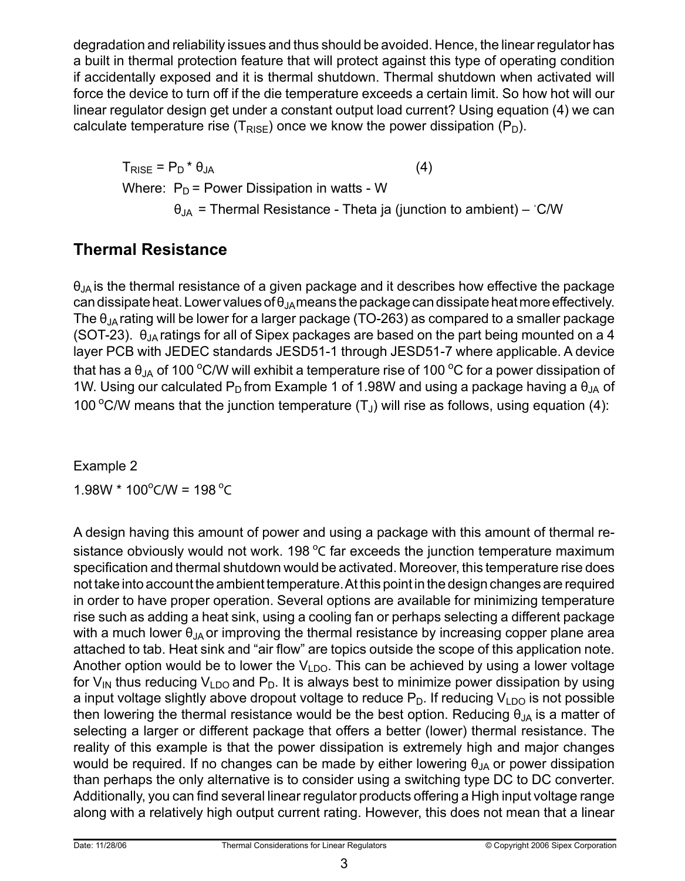degradation and reliability issues and thus should be avoided. Hence, the linear regulator has a built in thermal protection feature that will protect against this type of operating condition if accidentally exposed and it is thermal shutdown. Thermal shutdown when activated will force the device to turn off if the die temperature exceeds a certain limit. So how hot will our linear regulator design get under a constant output load current? Using equation (4) we can calculate temperature rise ( $T_{RISE}$ ) once we know the power dissipation ( $P_D$ ).

 $T_{\text{RISE}} = P_{\text{D}} * \theta_{\text{JA}}$  (4) Where:  $P_D$  = Power Dissipation in watts - W  $\theta_{JA}$  = Thermal Resistance - Theta ja (junction to ambient) – °C/W

### **Thermal Resistance**

 $\theta_{JA}$  is the thermal resistance of a given package and it describes how effective the package can dissipate heat. Lower values of  $\theta_{JA}$ means the package can dissipate heat more effectively. The  $\theta_{\rm IA}$  rating will be lower for a larger package (TO-263) as compared to a smaller package (SOT-23).  $\theta_{\text{IA}}$  ratings for all of Sipex packages are based on the part being mounted on a 4 layer PCB with JEDEC standards JESD51-1 through JESD51-7 where applicable. A device that has a  $\theta_{\rm JA}$  of 100 °C/W will exhibit a temperature rise of 100 °C for a power dissipation of 1W. Using our calculated P<sub>D</sub> from Example 1 of 1.98W and using a package having a  $\theta_{JA}$  of 100 °C/W means that the junction temperature  $(T_J)$  will rise as follows, using equation (4):

Example 2  $1.98W * 100^{\circ}$ C/W = 198 °C

A design having this amount of power and using a package with this amount of thermal resistance obviously would not work. 198  $^{\circ}$ C far exceeds the junction temperature maximum specification and thermal shutdown would be activated. Moreover, this temperature rise does not take into account the ambient temperature. At this point in the design changes are required in order to have proper operation. Several options are available for minimizing temperature rise such as adding a heat sink, using a cooling fan or perhaps selecting a different package with a much lower  $\theta_{JA}$  or improving the thermal resistance by increasing copper plane area attached to tab. Heat sink and "air flow" are topics outside the scope of this application note. Another option would be to lower the  $V<sub>1</sub>_{DQ}$ . This can be achieved by using a lower voltage for  $V_{\text{IN}}$  thus reducing  $V_{\text{LDO}}$  and  $P_{\text{D}}$ . It is always best to minimize power dissipation by using a input voltage slightly above dropout voltage to reduce  $P_D$ . If reducing  $V_{LDO}$  is not possible then lowering the thermal resistance would be the best option. Reducing  $\theta_{JA}$  is a matter of selecting a larger or different package that offers a better (lower) thermal resistance. The reality of this example is that the power dissipation is extremely high and major changes would be required. If no changes can be made by either lowering  $\theta_{JA}$  or power dissipation than perhaps the only alternative is to consider using a switching type DC to DC converter. Additionally, you can find several linear regulator products offering a High input voltage range along with a relatively high output current rating. However, this does not mean that a linear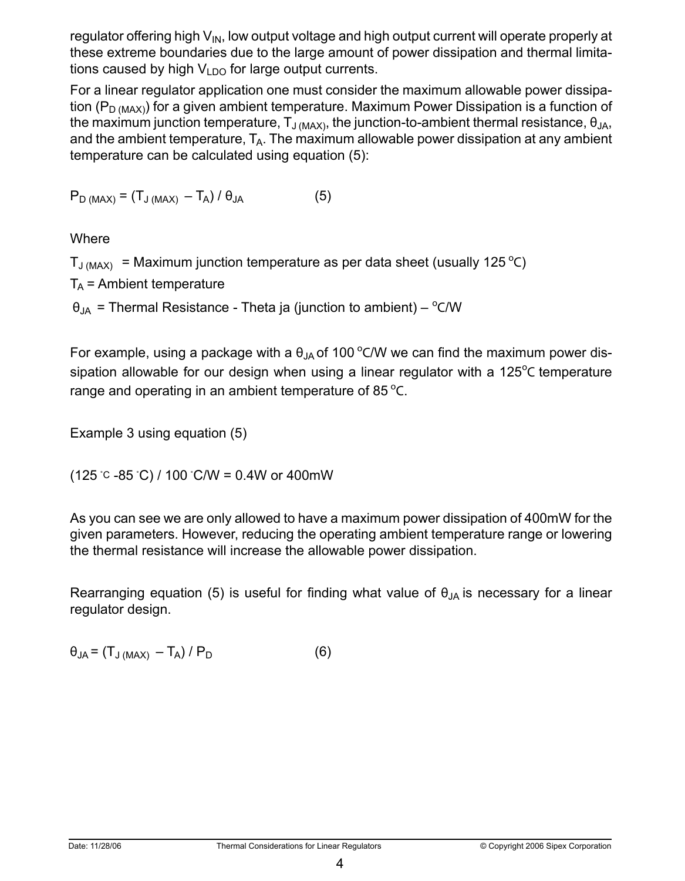regulator offering high  $V_{\text{IN}}$ , low output voltage and high output current will operate properly at these extreme boundaries due to the large amount of power dissipation and thermal limitations caused by high  $V_{LDO}$  for large output currents.

For a linear regulator application one must consider the maximum allowable power dissipation ( $P_{D (MAX)}$ ) for a given ambient temperature. Maximum Power Dissipation is a function of the maximum junction temperature,  $T_{J(MAX)}$ , the junction-to-ambient thermal resistance,  $\theta_{JA}$ , and the ambient temperature,  $T_A$ . The maximum allowable power dissipation at any ambient temperature can be calculated using equation (5):

 $P_{\text{D (MAX)}} = (T_{\text{J (MAX)}} - T_{\text{A}})/\theta_{\text{JA}}$  (5)

Where

 $T_{\text{J (MAX)}}$  = Maximum junction temperature as per data sheet (usually 125 °C)

 $T_A$  = Ambient temperature

 $\theta_{JA}$  = Thermal Resistance - Theta ja (junction to ambient) –  $^{\circ}$ C/W

For example, using a package with a  $\theta_{JA}$  of 100 °C/W we can find the maximum power dissipation allowable for our design when using a linear regulator with a 125 $\degree$ C temperature range and operating in an ambient temperature of 85 $^{\circ}$ C.

Example 3 using equation (5)

 $(125 \degree C - 85 \degree C) / 100 \degree C/W = 0.4W$  or 400mW

As you can see we are only allowed to have a maximum power dissipation of 400mW for the given parameters. However, reducing the operating ambient temperature range or lowering the thermal resistance will increase the allowable power dissipation.

Rearranging equation (5) is useful for finding what value of  $\theta_{JA}$  is necessary for a linear regulator design.

 $\theta_{JA} = (T_{J(MAX)} - T_A) / P_D$  (6)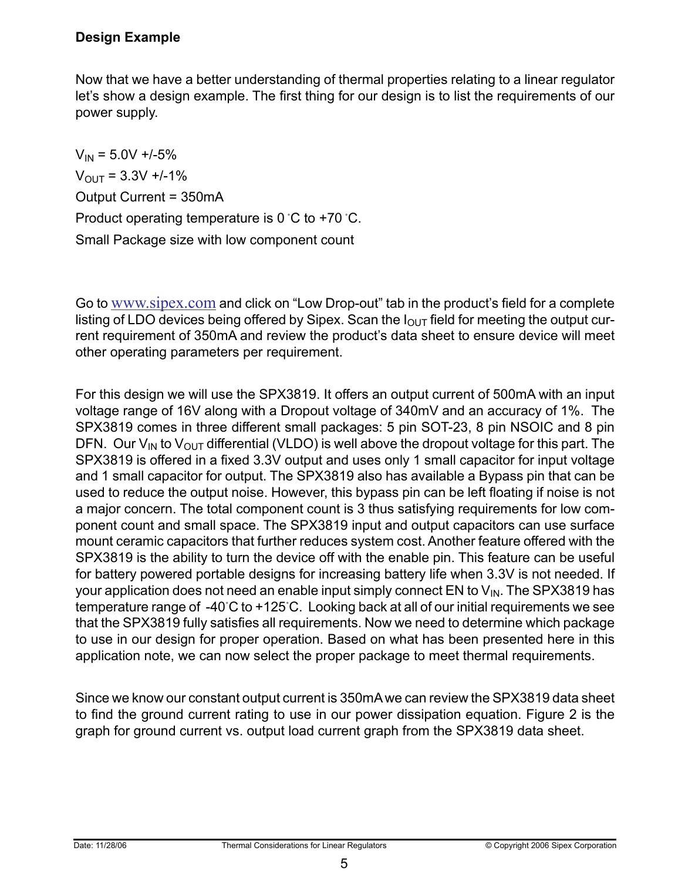#### **Design Example**

Now that we have a better understanding of thermal properties relating to a linear regulator let's show a design example. The first thing for our design is to list the requirements of our power supply.

 $V_{IN}$  = 5.0V +/-5%  $V_{\text{OUT}} = 3.3V + 1.1\%$ Output Current = 350mA Product operating temperature is 0 ˚C to +70 ˚C. Small Package size with low component count

Go to www.sipex.com and click on "Low Drop-out" tab in the product's field for a complete listing of LDO devices being offered by Sipex. Scan the  $I<sub>OUT</sub>$  field for meeting the output current requirement of 350mA and review the product's data sheet to ensure device will meet other operating parameters per requirement.

For this design we will use the SPX3819. It offers an output current of 500mA with an input voltage range of 16V along with a Dropout voltage of 340mV and an accuracy of 1%. The SPX3819 comes in three different small packages: 5 pin SOT-23, 8 pin NSOIC and 8 pin DFN. Our  $V_{IN}$  to  $V_{OUT}$  differential (VLDO) is well above the dropout voltage for this part. The SPX3819 is offered in a fixed 3.3V output and uses only 1 small capacitor for input voltage and 1 small capacitor for output. The SPX3819 also has available a Bypass pin that can be used to reduce the output noise. However, this bypass pin can be left floating if noise is not a major concern. The total component count is 3 thus satisfying requirements for low component count and small space. The SPX3819 input and output capacitors can use surface mount ceramic capacitors that further reduces system cost. Another feature offered with the SPX3819 is the ability to turn the device off with the enable pin. This feature can be useful for battery powered portable designs for increasing battery life when 3.3V is not needed. If your application does not need an enable input simply connect EN to  $V_{\text{IN}}$ . The SPX3819 has temperature range of -40˚C to +125˚C. Looking back at all of our initial requirements we see that the SPX3819 fully satisfies all requirements. Now we need to determine which package to use in our design for proper operation. Based on what has been presented here in this application note, we can now select the proper package to meet thermal requirements.

Since we know our constant output current is 350mA we can review the SPX3819 data sheet to find the ground current rating to use in our power dissipation equation. Figure 2 is the graph for ground current vs. output load current graph from the SPX3819 data sheet.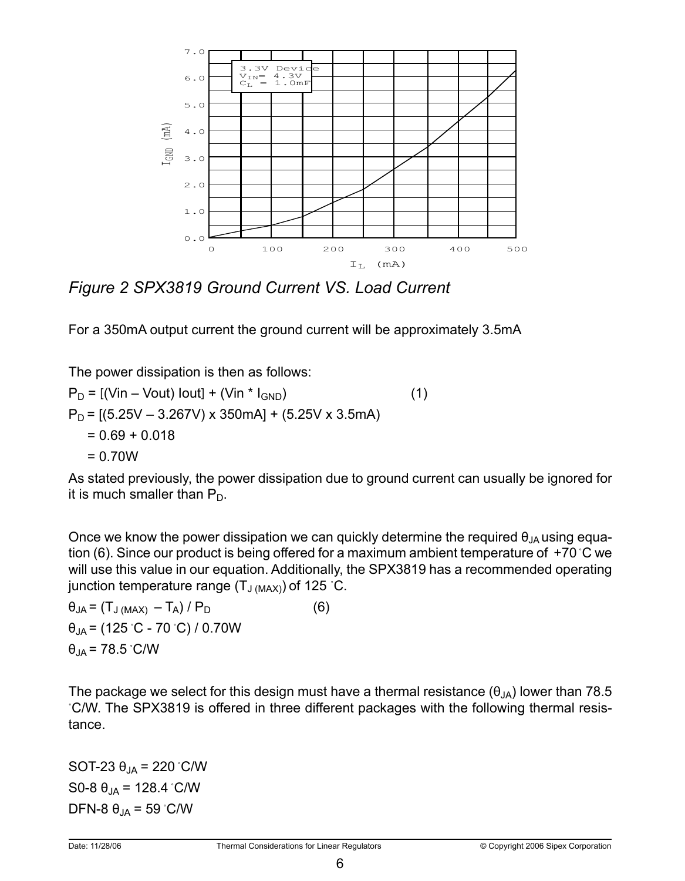

*Figure 2 SPX3819 Ground Current VS. Load Current*

For a 350mA output current the ground current will be approximately 3.5mA

The power dissipation is then as follows:  $P_D = [(Vin - Vout) Iout] + (Vin * I_{GND})$  (1)  $P_D = [(5.25V - 3.267V) \times 350mA] + (5.25V \times 3.5mA)]$  $= 0.69 + 0.018$ = 0.70W

As stated previously, the power dissipation due to ground current can usually be ignored for it is much smaller than  $P_D$ .

Once we know the power dissipation we can quickly determine the required  $\theta_{JA}$  using equation (6). Since our product is being offered for a maximum ambient temperature of +70 ˚C we will use this value in our equation. Additionally, the SPX3819 has a recommended operating junction temperature range  $(T_{J (MAX)})$  of 125 °C.

 $\theta_{JA} = (T_{J(MAX)} - T_A) / P_D$  (6)  $\theta_{JA}$  = (125 °C - 70 °C) / 0.70W  $θ_{JA} = 78.5 °C/W$ 

The package we select for this design must have a thermal resistance  $(\theta_{JA})$  lower than 78.5 ˚C/W. The SPX3819 is offered in three different packages with the following thermal resistance.

SOT-23  $θ_{JA}$  = 220 °C/W S0-8  $θ_{JA}$  = 128.4 °C/W DFN-8  $\theta_{IA}$  = 59 °C/W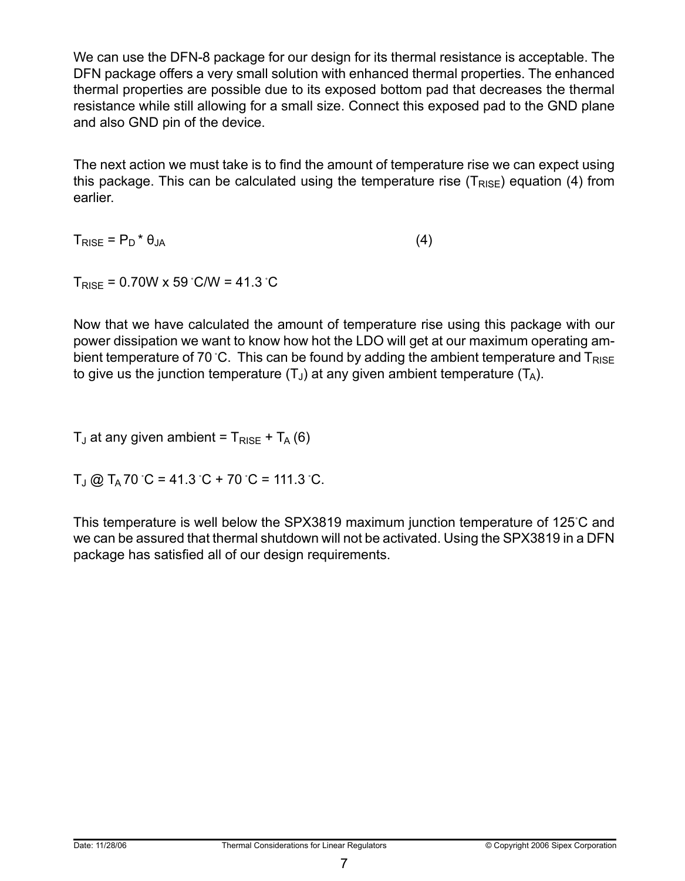We can use the DFN-8 package for our design for its thermal resistance is acceptable. The DFN package offers a very small solution with enhanced thermal properties. The enhanced thermal properties are possible due to its exposed bottom pad that decreases the thermal resistance while still allowing for a small size. Connect this exposed pad to the GND plane and also GND pin of the device.

The next action we must take is to find the amount of temperature rise we can expect using this package. This can be calculated using the temperature rise  $(T_{RISF})$  equation (4) from earlier.

 $T_{\text{RISE}} = P_{\text{D}} * \theta_{\text{JA}}$  (4)

 $T_{RISE} = 0.70W \times 59^{\circ}$ C/W = 41.3 °C

Now that we have calculated the amount of temperature rise using this package with our power dissipation we want to know how hot the LDO will get at our maximum operating ambient temperature of 70 °C. This can be found by adding the ambient temperature and  $T_{RISF}$ to give us the junction temperature  $(T_1)$  at any given ambient temperature  $(T_A)$ .

 $T_{\text{J}}$  at any given ambient =  $T_{\text{RISE}}$  +  $T_{\text{A}}$  (6)

 $T_J$  @  $T_A$  70 °C = 41.3 °C + 70 °C = 111.3 °C.

This temperature is well below the SPX3819 maximum junction temperature of 125˚C and we can be assured that thermal shutdown will not be activated. Using the SPX3819 in a DFN package has satisfied all of our design requirements.